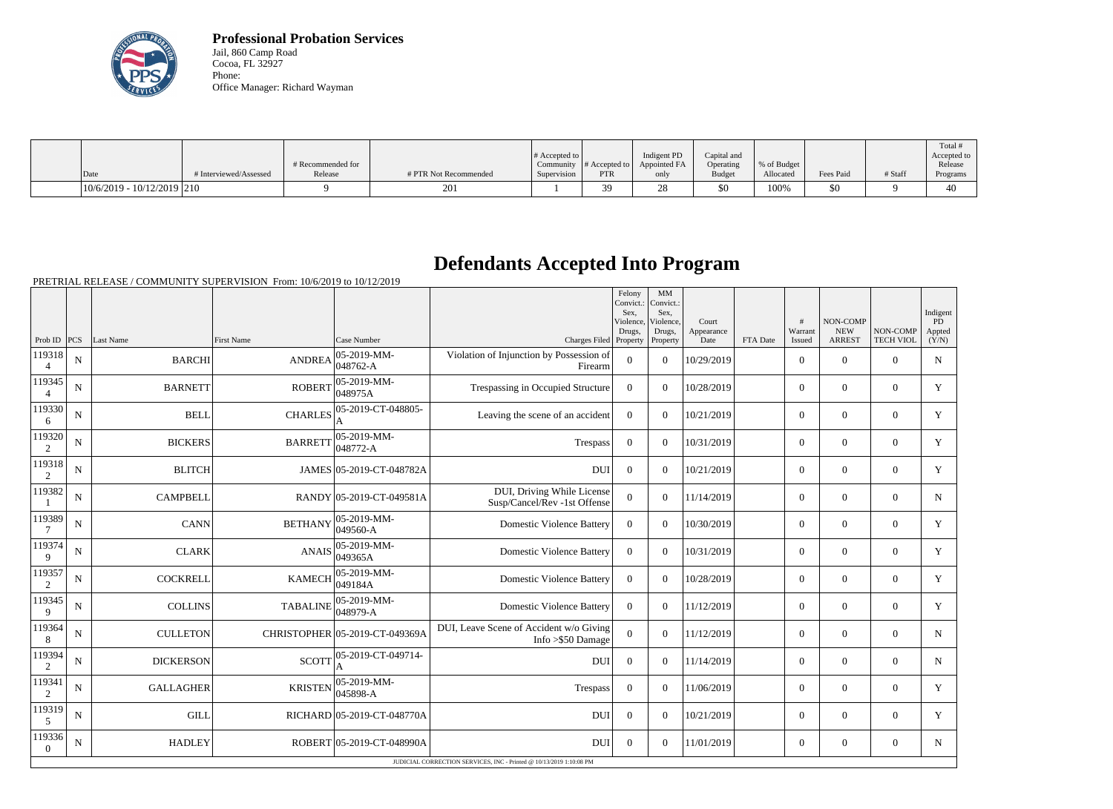

**Professional Probation Services** Jail, 860 Camp Road Cocoa, FL 32927 Phone: Office Manager: Richard Wayman

|                              |                        |                              |                       | $\#$ Accepted to         |                             | Indigent PD          | Capital and                |                          |           |         | Total #<br>Accepted to |
|------------------------------|------------------------|------------------------------|-----------------------|--------------------------|-----------------------------|----------------------|----------------------------|--------------------------|-----------|---------|------------------------|
| Date                         | # Interviewed/Assessed | # Recommended for<br>Release | # PTR Not Recommended | Community<br>Supervision | # Accepted to<br><b>PTR</b> | Appointed FA<br>only | Operating<br><b>Budget</b> | % of Budget<br>Allocated | Fees Paid | # Staff | Release<br>Programs    |
| $10/6/2019 - 10/12/2019$ 210 |                        |                              | 201                   |                          | 30<br>J .                   | ∠o                   | \$0                        | 100%                     | \$0       |         | 40                     |

## **Defendants Accepted Into Program**

PRETRIAL RELEASE / COMMUNITY SUPERVISION From: 10/6/2019 to 10/12/2019

|                       |             |                  |                   |                                |                                                                | Felony<br>Convict.:<br>Sex.<br>Violence.<br>Drugs, | MM<br>Convict.:<br>Sex,<br>Violence.<br>Drugs, | Court<br>Appearance |          | #<br>Warrant   | <b>NON-COMP</b><br><b>NEW</b> | NON-COMP         | Indigent<br><b>PD</b><br>Appted                                     |  |  |  |  |  |  |  |  |  |  |  |
|-----------------------|-------------|------------------|-------------------|--------------------------------|----------------------------------------------------------------|----------------------------------------------------|------------------------------------------------|---------------------|----------|----------------|-------------------------------|------------------|---------------------------------------------------------------------|--|--|--|--|--|--|--|--|--|--|--|
| Prob ID $ PCS $       |             | Last Name        | <b>First Name</b> | Case Number                    | Charges Filed Property                                         |                                                    | Property                                       | Date                | FTA Date | Issued         | <b>ARREST</b>                 | <b>TECH VIOL</b> | (Y/N)                                                               |  |  |  |  |  |  |  |  |  |  |  |
| 119318<br>4           | N           | <b>BARCHI</b>    | <b>ANDREA</b>     | $05 - 2019 - MM -$<br>048762-A | Violation of Injunction by Possession of<br>Firearm            | $\overline{0}$                                     | $\Omega$                                       | 10/29/2019          |          | $\overline{0}$ | $\theta$                      | $\overline{0}$   | $\mathbf N$                                                         |  |  |  |  |  |  |  |  |  |  |  |
| 119345                | N           | <b>BARNETT</b>   | <b>ROBERT</b>     | 05-2019-MM-<br>048975A         | Trespassing in Occupied Structure                              | $\overline{0}$                                     | $\overline{0}$                                 | 10/28/2019          |          | $\overline{0}$ | $\mathbf{0}$                  | $\overline{0}$   | Y                                                                   |  |  |  |  |  |  |  |  |  |  |  |
| 119330<br>6           | $\mathbf N$ | <b>BELL</b>      | <b>CHARLES</b>    | 05-2019-CT-048805-             | Leaving the scene of an accident                               | $\overline{0}$                                     | $\Omega$                                       | 10/21/2019          |          | $\overline{0}$ | $\mathbf{0}$                  | $\overline{0}$   | Y                                                                   |  |  |  |  |  |  |  |  |  |  |  |
| 119320<br>2           | $\mathbf N$ | <b>BICKERS</b>   | <b>BARRETT</b>    | 05-2019-MM-<br>048772-A        | Trespass                                                       | $\mathbf{0}$                                       | $\Omega$                                       | 10/31/2019          |          | $\overline{0}$ | $\mathbf{0}$                  | $\overline{0}$   | Y                                                                   |  |  |  |  |  |  |  |  |  |  |  |
| 119318<br>2           | ${\bf N}$   | <b>BLITCH</b>    |                   | JAMES 05-2019-CT-048782A       | DUI                                                            | $\boldsymbol{0}$                                   | $\Omega$                                       | 10/21/2019          |          | $\overline{0}$ | $\theta$                      | $\overline{0}$   | $\mathbf Y$                                                         |  |  |  |  |  |  |  |  |  |  |  |
| 119382                | N           | <b>CAMPBELL</b>  |                   | RANDY 05-2019-CT-049581A       | DUI, Driving While License<br>Susp/Cancel/Rev -1st Offense     | $\overline{0}$                                     | $\Omega$                                       | 11/14/2019          |          | $\overline{0}$ | $\theta$                      | $\overline{0}$   | $\mathbf N$                                                         |  |  |  |  |  |  |  |  |  |  |  |
| 119389                | $\mathbf N$ | <b>CANN</b>      | <b>BETHANY</b>    | 05-2019-MM-<br>049560-A        | <b>Domestic Violence Battery</b>                               | $\overline{0}$                                     | $\Omega$                                       | 10/30/2019          |          | $\overline{0}$ | $\theta$                      | $\overline{0}$   | Y                                                                   |  |  |  |  |  |  |  |  |  |  |  |
| 119374<br>$\mathbf Q$ | $\mathbf N$ | <b>CLARK</b>     | <b>ANAIS</b>      | 05-2019-MM-<br>049365A         | <b>Domestic Violence Battery</b>                               | $\boldsymbol{0}$                                   | $\Omega$                                       | 10/31/2019          |          | $\overline{0}$ | $\theta$                      | $\overline{0}$   | Y                                                                   |  |  |  |  |  |  |  |  |  |  |  |
| 119357<br>2           | N           | <b>COCKRELL</b>  | <b>KAMECH</b>     | 05-2019-MM-<br>049184A         | <b>Domestic Violence Battery</b>                               | $\overline{0}$                                     | $\overline{0}$                                 | 10/28/2019          |          | $\overline{0}$ | $\mathbf{0}$                  | $\Omega$         | Y                                                                   |  |  |  |  |  |  |  |  |  |  |  |
| 119345<br>$\mathbf Q$ | $\mathbf N$ | <b>COLLINS</b>   | <b>TABALINE</b>   | 05-2019-MM-<br>048979-A        | <b>Domestic Violence Battery</b>                               | $\theta$                                           | $\Omega$                                       | 11/12/2019          |          | $\overline{0}$ | $\boldsymbol{0}$              | $\overline{0}$   | Y                                                                   |  |  |  |  |  |  |  |  |  |  |  |
| 119364<br>8           | N           | <b>CULLETON</b>  |                   | CHRISTOPHER 05-2019-CT-049369A | DUI, Leave Scene of Accident w/o Giving<br>Info $>\$ 50 Damage | $\overline{0}$                                     | $\Omega$                                       | 11/12/2019          |          | $\overline{0}$ | $\overline{0}$                | $\overline{0}$   | $\mathbf N$                                                         |  |  |  |  |  |  |  |  |  |  |  |
| 119394<br>2           | $\mathbf N$ | <b>DICKERSON</b> | <b>SCOTT</b>      | 05-2019-CT-049714-             | <b>DUI</b>                                                     | $\overline{0}$                                     | $\overline{0}$                                 | 11/14/2019          |          | $\overline{0}$ | $\mathbf{0}$                  | $\Omega$         | $\mathbf N$                                                         |  |  |  |  |  |  |  |  |  |  |  |
| 119341<br>2           | N           | <b>GALLAGHER</b> | <b>KRISTEN</b>    | $05-2019-MM$ -<br>$045898-A$   | Trespass                                                       | $\boldsymbol{0}$                                   | $\overline{0}$                                 | 11/06/2019          |          | $\overline{0}$ | $\theta$                      | $\Omega$         | Y                                                                   |  |  |  |  |  |  |  |  |  |  |  |
| 119319<br>5           | N           | <b>GILL</b>      |                   | RICHARD 05-2019-CT-048770A     | <b>DUI</b>                                                     | $\Omega$                                           | $\Omega$                                       | 10/21/2019          |          | $\overline{0}$ | $\theta$                      | $\overline{0}$   | Y                                                                   |  |  |  |  |  |  |  |  |  |  |  |
| 119336<br>$\theta$    | $\mathbf N$ | <b>HADLEY</b>    |                   | ROBERT 05-2019-CT-048990A      | <b>DUI</b>                                                     | $\boldsymbol{0}$                                   | $\overline{0}$                                 | 11/01/2019          |          | $\overline{0}$ | $\boldsymbol{0}$              | $\overline{0}$   | N                                                                   |  |  |  |  |  |  |  |  |  |  |  |
|                       |             |                  |                   |                                |                                                                |                                                    |                                                |                     |          |                |                               |                  | JUDICIAL CORRECTION SERVICES, INC - Printed @ 10/13/2019 1:10:08 PM |  |  |  |  |  |  |  |  |  |  |  |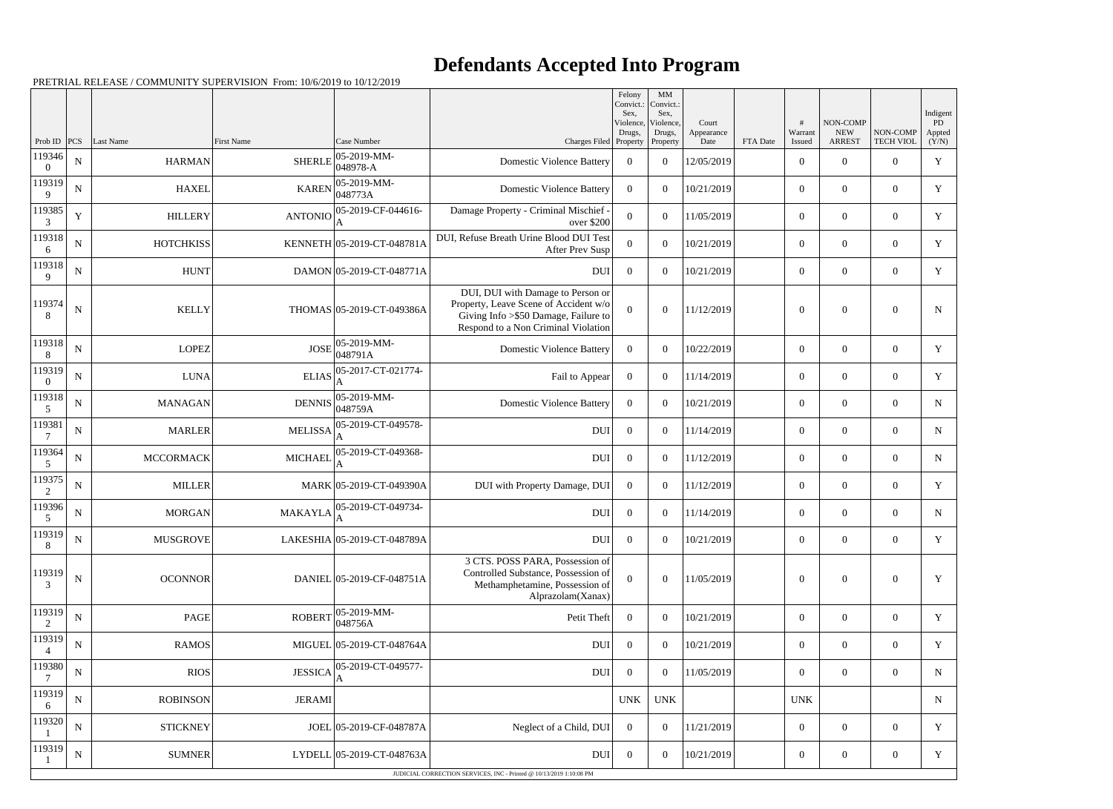## **Defendants Accepted Into Program**

PRETRIAL RELEASE / COMMUNITY SUPERVISION From: 10/6/2019 to 10/12/2019

|                    |             |                  |                |                                              |                                                                                                                                                            | Felony<br>Convict.:<br>Sex, | $\mathbf{M}\mathbf{M}$<br>Convict.:<br>Sex, |                             |          |                        |                                                |                              | Indigent              |
|--------------------|-------------|------------------|----------------|----------------------------------------------|------------------------------------------------------------------------------------------------------------------------------------------------------------|-----------------------------|---------------------------------------------|-----------------------------|----------|------------------------|------------------------------------------------|------------------------------|-----------------------|
| Prob ID            | PCS         | <b>Last Name</b> | First Name     | Case Number                                  | Charges Filed Property                                                                                                                                     | Violence,<br>Drugs,         | Violence,<br>Drugs,<br>Property             | Court<br>Appearance<br>Date | FTA Date | #<br>Warrant<br>Issued | <b>NON-COMP</b><br><b>NEW</b><br><b>ARREST</b> | NON-COMP<br><b>TECH VIOL</b> | PD<br>Appted<br>(Y/N) |
| 119346<br>$\theta$ | ${\bf N}$   | <b>HARMAN</b>    | <b>SHERLE</b>  | 05-2019-MM-<br>$048978 - A$                  | <b>Domestic Violence Battery</b>                                                                                                                           | $\overline{0}$              | $\overline{0}$                              | 12/05/2019                  |          | $\overline{0}$         | $\overline{0}$                                 | $\overline{0}$               | $\mathbf Y$           |
| 119319<br>9        | $\mathbf N$ | <b>HAXEL</b>     | <b>KAREN</b>   | $ 05-2019-MM-$<br>048773A                    | <b>Domestic Violence Battery</b>                                                                                                                           | $\Omega$                    | $\theta$                                    | 10/21/2019                  |          | $\overline{0}$         | $\overline{0}$                                 | $\overline{0}$               | Y                     |
| 119385<br>3        | $\mathbf Y$ | <b>HILLERY</b>   |                | ANTONIO $\frac{05-2019}{4}$ CF-044616-<br>ΙA | Damage Property - Criminal Mischief -<br>over \$200                                                                                                        | $\theta$                    | $\theta$                                    | 11/05/2019                  |          | $\overline{0}$         | $\overline{0}$                                 | $\overline{0}$               | Y                     |
| 119318<br>6        | $\mathbf N$ | <b>HOTCHKISS</b> |                | KENNETH 05-2019-CT-048781A                   | DUI, Refuse Breath Urine Blood DUI Test<br><b>After Prev Susp</b>                                                                                          | $\Omega$                    | $\theta$                                    | 10/21/2019                  |          | $\overline{0}$         | $\boldsymbol{0}$                               | $\overline{0}$               | Y                     |
| 119318<br>9        | ${\bf N}$   | <b>HUNT</b>      |                | DAMON 05-2019-CT-048771A                     | <b>DUI</b>                                                                                                                                                 | $\overline{0}$              | $\theta$                                    | 10/21/2019                  |          | $\overline{0}$         | $\theta$                                       | $\overline{0}$               | $\mathbf Y$           |
| 119374<br>8        | $\mathbf N$ | <b>KELLY</b>     |                | THOMAS 05-2019-CT-049386A                    | DUI, DUI with Damage to Person or<br>Property, Leave Scene of Accident w/o<br>Giving Info > \$50 Damage, Failure to<br>Respond to a Non Criminal Violation | $\Omega$                    | $\Omega$                                    | 11/12/2019                  |          | $\theta$               | $\theta$                                       | $\boldsymbol{0}$             | $\mathbf N$           |
| 119318<br>8        | ${\bf N}$   | <b>LOPEZ</b>     | <b>JOSE</b>    | $ 05-2019-MM-$<br> 048791A                   | <b>Domestic Violence Battery</b>                                                                                                                           | $\overline{0}$              | $\theta$                                    | 10/22/2019                  |          | $\boldsymbol{0}$       | $\overline{0}$                                 | $\overline{0}$               | Y                     |
| 119319<br>$\Omega$ | ${\bf N}$   | <b>LUNA</b>      | <b>ELIAS</b>   | 05-2017-CT-021774-                           | Fail to Appear                                                                                                                                             | $\overline{0}$              | $\boldsymbol{0}$                            | 11/14/2019                  |          | $\overline{0}$         | $\overline{0}$                                 | $\overline{0}$               | Y                     |
| 119318<br>5        | ${\bf N}$   | <b>MANAGAN</b>   |                | DENNIS 05-2019-MM-<br>048759A                | <b>Domestic Violence Battery</b>                                                                                                                           | $\overline{0}$              | $\theta$                                    | 10/21/2019                  |          | $\overline{0}$         | $\overline{0}$                                 | $\overline{0}$               | ${\bf N}$             |
| 119381<br>7        | $\mathbf N$ | <b>MARLER</b>    | <b>MELISSA</b> | 05-2019-CT-049578-<br>A                      | <b>DUI</b>                                                                                                                                                 | $\overline{0}$              | $\theta$                                    | 11/14/2019                  |          | $\overline{0}$         | $\theta$                                       | $\overline{0}$               | $\mathbf N$           |
| 119364<br>5        | ${\bf N}$   | <b>MCCORMACK</b> | <b>MICHAEL</b> | 05-2019-CT-049368-<br>A                      | <b>DUI</b>                                                                                                                                                 | $\overline{0}$              | $\theta$                                    | 11/12/2019                  |          | $\overline{0}$         | $\overline{0}$                                 | $\overline{0}$               | $\mathbf N$           |
| 119375<br>2        | ${\bf N}$   | <b>MILLER</b>    |                | MARK 05-2019-CT-049390A                      | DUI with Property Damage, DUI                                                                                                                              | $\boldsymbol{0}$            | $\overline{0}$                              | 11/12/2019                  |          | $\overline{0}$         | $\overline{0}$                                 | $\overline{0}$               | Y                     |
| 119396<br>5        | ${\bf N}$   | <b>MORGAN</b>    | <b>MAKAYLA</b> | 05-2019-CT-049734-                           | <b>DUI</b>                                                                                                                                                 | $\overline{0}$              | $\theta$                                    | 11/14/2019                  |          | $\overline{0}$         | $\mathbf{0}$                                   | $\overline{0}$               | ${\bf N}$             |
| 119319<br>8        | ${\bf N}$   | <b>MUSGROVE</b>  |                | LAKESHIA 05-2019-CT-048789A                  | <b>DUI</b>                                                                                                                                                 | $\overline{0}$              | $\overline{0}$                              | 10/21/2019                  |          | $\boldsymbol{0}$       | $\overline{0}$                                 | $\overline{0}$               | Y                     |
| 119319<br>3        | ${\bf N}$   | <b>OCONNOR</b>   |                | DANIEL 05-2019-CF-048751A                    | 3 CTS. POSS PARA, Possession of<br>Controlled Substance, Possession of<br>Methamphetamine, Possession of<br>Alprazolam(Xanax)                              | $\mathbf{0}$                | $\boldsymbol{0}$                            | 11/05/2019                  |          | $\boldsymbol{0}$       | $\mathbf{0}$                                   | $\overline{0}$               | Y                     |
| 119319<br>2        | ${\bf N}$   | PAGE             | <b>ROBERT</b>  | $ 05-2019-MM-$<br>048756A                    | Petit Theft                                                                                                                                                | $\overline{0}$              | $\boldsymbol{0}$                            | 10/21/2019                  |          | $\overline{0}$         | $\overline{0}$                                 | $\overline{0}$               | Y                     |
| 119319             | $\mathbf N$ | <b>RAMOS</b>     |                | MIGUEL 05-2019-CT-048764A                    | <b>DUI</b>                                                                                                                                                 | $\overline{0}$              | $\theta$                                    | 10/21/2019                  |          | $\mathbf{0}$           | $\overline{0}$                                 | $\overline{0}$               | Y                     |
| 119380<br>7        | $\mathbf N$ | <b>RIOS</b>      | <b>JESSICA</b> | 05-2019-CT-049577-<br>ΙA                     | <b>DUI</b>                                                                                                                                                 | $\overline{0}$              | $\theta$                                    | 11/05/2019                  |          | $\overline{0}$         | $\overline{0}$                                 | $\overline{0}$               | $\mathbf N$           |
| 119319<br>6        | ${\bf N}$   | <b>ROBINSON</b>  | <b>JERAMI</b>  |                                              |                                                                                                                                                            | <b>UNK</b>                  | <b>UNK</b>                                  |                             |          | <b>UNK</b>             |                                                |                              | $\mathbf N$           |
| 119320             | $\mathbf N$ | <b>STICKNEY</b>  |                | JOEL 05-2019-CF-048787A                      | Neglect of a Child, DUI                                                                                                                                    | $\overline{0}$              | $\boldsymbol{0}$                            | 11/21/2019                  |          | $\overline{0}$         | $\overline{0}$                                 | $\overline{0}$               | Y                     |
| 119319             | $\mathbf N$ | <b>SUMNER</b>    |                | LYDELL 05-2019-CT-048763A                    | <b>DUI</b>                                                                                                                                                 | $\overline{0}$              | $\overline{0}$                              | 10/21/2019                  |          | $\boldsymbol{0}$       | $\mathbf{0}$                                   | $\boldsymbol{0}$             | Y                     |
|                    |             |                  |                |                                              | JUDICIAL CORRECTION SERVICES, INC - Printed @ 10/13/2019 1:10:08 PM                                                                                        |                             |                                             |                             |          |                        |                                                |                              |                       |